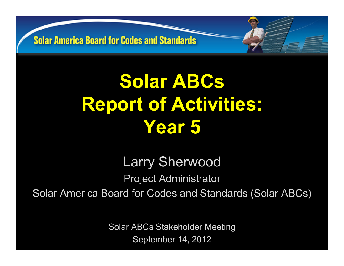# **Solar ABCs Report of Activities: Year 5**

Larry Sherwood Project Administrator Solar America Board for Codes and Standards (Solar ABCs)

> Solar ABCs Stakeholder Meeting September 14, 2012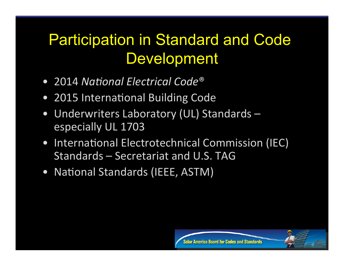### Participation in Standard and Code **Development**

- 2014 National Electrical Code<sup>®</sup>
- 2015 International Building Code
- Underwriters Laboratory (UL) Standards especially UL 1703
- International Electrotechnical Commission (IEC) Standards – Secretariat and U.S. TAG

Solar America Board for Codes and Standards

• National Standards (IEEE, ASTM)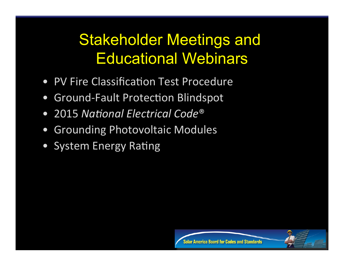### Stakeholder Meetings and Educational Webinars

- PV Fire Classification Test Procedure
- Ground-Fault Protection Blindspot
- 2015 National Electrical Code<sup>®</sup>
- Grounding Photovoltaic Modules
- System Energy Rating



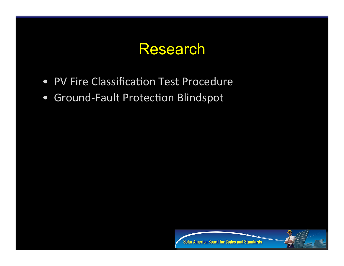#### Research

- PV Fire Classification Test Procedure
- Ground-Fault Protection Blindspot



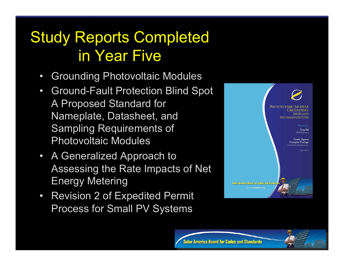### Study Reports Completed in Year Five

- Grounding Photovoltaic Modules
- Ground-Fault Protection Blind Spot A Proposed Standard for Nameplate, Datasheet, and Sampling Requirements of Photovoltaic Modules
- A Generalized Approach to Assessing the Rate Impacts of Net Energy Metering
- Revision 2 of Expedited Permit Process for Small PV Systems



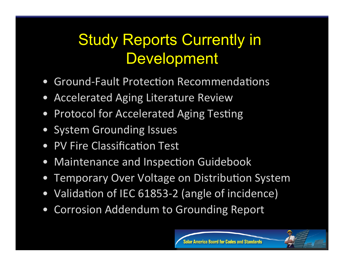### **Study Reports Currently in Development**

- **Ground-Fault Protection Recommendations**
- Accelerated Aging Literature Review
- **Protocol for Accelerated Aging Testing**
- System Grounding Issues
- PV Fire Classification Test
- Maintenance and Inspection Guidebook
- **Temporary Over Voltage on Distribution System**
- Validation of IEC 61853-2 (angle of incidence)
- Corrosion Addendum to Grounding Report



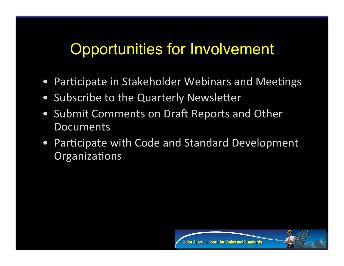#### Opportunities for Involvement

- Participate in Stakeholder Webinars and Meetings
- Subscribe to the Quarterly Newsletter
- Submit Comments on Draft Reports and Other **Documents**
- Participate with Code and Standard Development Organizations